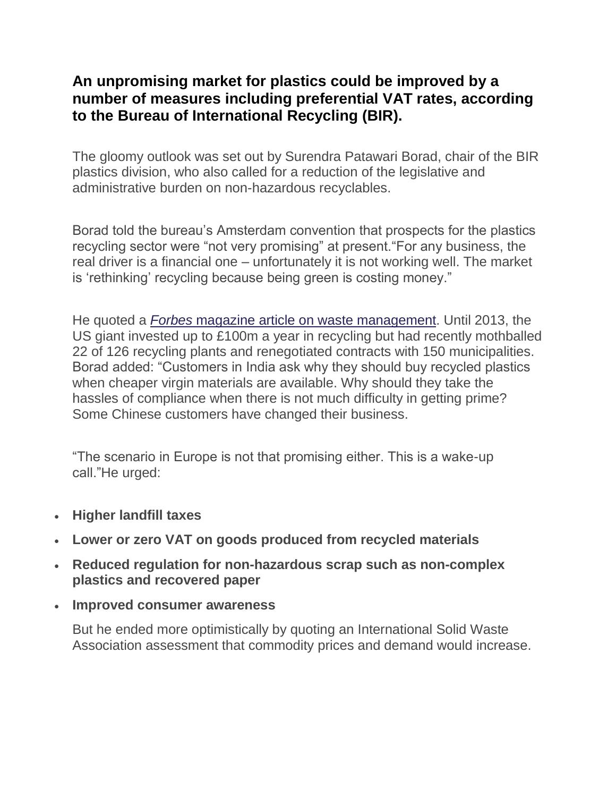## **An unpromising market for plastics could be improved by a number of measures including preferential VAT rates, according to the Bureau of International Recycling (BIR).**

The gloomy outlook was set out by Surendra Patawari Borad, chair of the BIR plastics division, who also called for a reduction of the legislative and administrative burden on non-hazardous recyclables.

Borad told the bureau's Amsterdam convention that prospects for the plastics recycling sector were "not very promising" at present."For any business, the real driver is a financial one – unfortunately it is not working well. The market is 'rethinking' recycling because being green is costing money."

He quoted a *Forbes* [magazine article on waste management.](http://www.forbes.com/sites/christopherhelman/2016/09/14/rethinking-recycling-with-waste-management-ceo-david-steiner/#3ee64fe967ae) Until 2013, the US giant invested up to £100m a year in recycling but had recently mothballed 22 of 126 recycling plants and renegotiated contracts with 150 municipalities. Borad added: "Customers in India ask why they should buy recycled plastics when cheaper virgin materials are available. Why should they take the hassles of compliance when there is not much difficulty in getting prime? Some Chinese customers have changed their business.

"The scenario in Europe is not that promising either. This is a wake-up call."He urged:

- **Higher landfill taxes**
- **Lower or zero VAT on goods produced from recycled materials**
- **Reduced regulation for non-hazardous scrap such as non-complex plastics and recovered paper**
- **Improved consumer awareness**

But he ended more optimistically by quoting an International Solid Waste Association assessment that commodity prices and demand would increase.